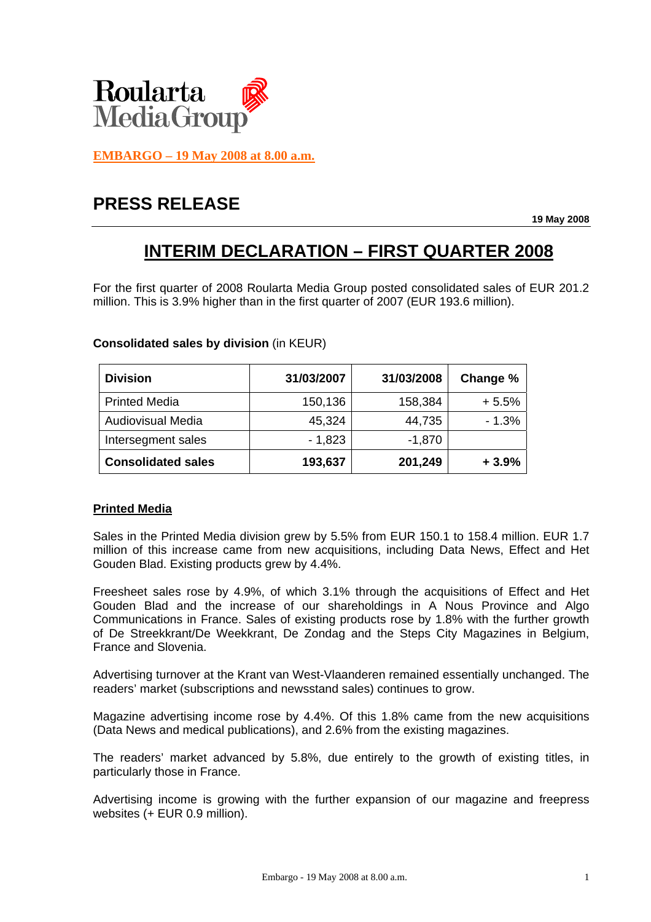

**EMBARGO – 19 May 2008 at 8.00 a.m.**

# **PRESS RELEASE**

**19 May 2008** 

## **INTERIM DECLARATION – FIRST QUARTER 2008**

For the first quarter of 2008 Roularta Media Group posted consolidated sales of EUR 201.2 million. This is 3.9% higher than in the first quarter of 2007 (EUR 193.6 million).

## **Consolidated sales by division** (in KEUR)

| <b>Division</b>           | 31/03/2007 | 31/03/2008 | Change % |
|---------------------------|------------|------------|----------|
| <b>Printed Media</b>      | 150,136    | 158,384    | $+5.5%$  |
| <b>Audiovisual Media</b>  | 45,324     | 44,735     | $-1.3%$  |
| Intersegment sales        | $-1,823$   | $-1,870$   |          |
| <b>Consolidated sales</b> | 193,637    | 201,249    | $+3.9%$  |

#### **Printed Media**

Sales in the Printed Media division grew by 5.5% from EUR 150.1 to 158.4 million. EUR 1.7 million of this increase came from new acquisitions, including Data News, Effect and Het Gouden Blad. Existing products grew by 4.4%.

Freesheet sales rose by 4.9%, of which 3.1% through the acquisitions of Effect and Het Gouden Blad and the increase of our shareholdings in A Nous Province and Algo Communications in France. Sales of existing products rose by 1.8% with the further growth of De Streekkrant/De Weekkrant, De Zondag and the Steps City Magazines in Belgium, France and Slovenia.

Advertising turnover at the Krant van West-Vlaanderen remained essentially unchanged. The readers' market (subscriptions and newsstand sales) continues to grow.

Magazine advertising income rose by 4.4%. Of this 1.8% came from the new acquisitions (Data News and medical publications), and 2.6% from the existing magazines.

The readers' market advanced by 5.8%, due entirely to the growth of existing titles, in particularly those in France.

Advertising income is growing with the further expansion of our magazine and freepress websites (+ EUR 0.9 million).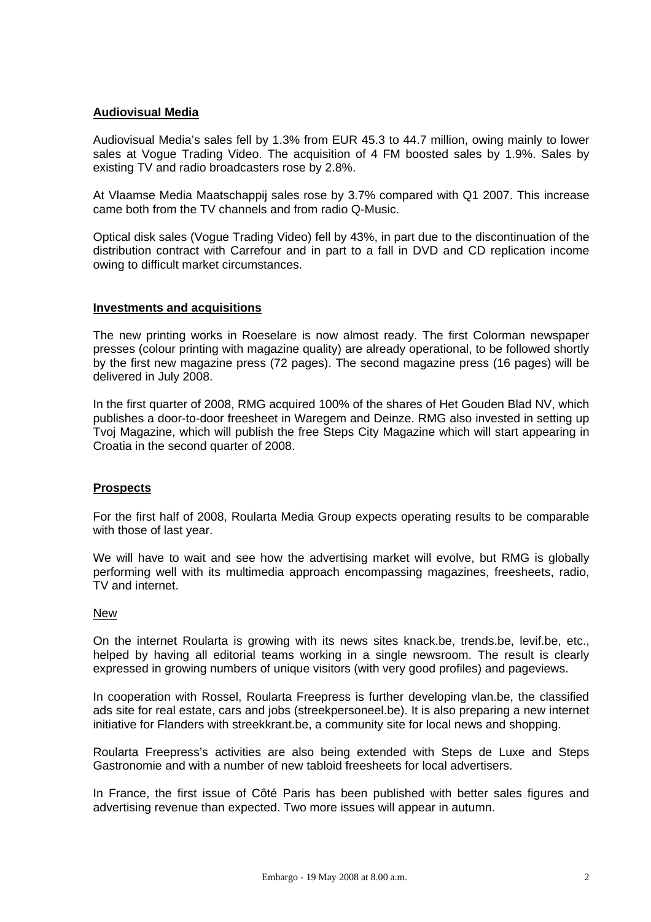## **Audiovisual Media**

Audiovisual Media's sales fell by 1.3% from EUR 45.3 to 44.7 million, owing mainly to lower sales at Vogue Trading Video. The acquisition of 4 FM boosted sales by 1.9%. Sales by existing TV and radio broadcasters rose by 2.8%.

At Vlaamse Media Maatschappij sales rose by 3.7% compared with Q1 2007. This increase came both from the TV channels and from radio Q-Music.

Optical disk sales (Vogue Trading Video) fell by 43%, in part due to the discontinuation of the distribution contract with Carrefour and in part to a fall in DVD and CD replication income owing to difficult market circumstances.

#### **Investments and acquisitions**

The new printing works in Roeselare is now almost ready. The first Colorman newspaper presses (colour printing with magazine quality) are already operational, to be followed shortly by the first new magazine press (72 pages). The second magazine press (16 pages) will be delivered in July 2008.

In the first quarter of 2008, RMG acquired 100% of the shares of Het Gouden Blad NV, which publishes a door-to-door freesheet in Waregem and Deinze. RMG also invested in setting up Tvoj Magazine, which will publish the free Steps City Magazine which will start appearing in Croatia in the second quarter of 2008.

## **Prospects**

For the first half of 2008, Roularta Media Group expects operating results to be comparable with those of last year.

We will have to wait and see how the advertising market will evolve, but RMG is globally performing well with its multimedia approach encompassing magazines, freesheets, radio, TV and internet.

#### **New**

On the internet Roularta is growing with its news sites knack.be, trends.be, levif.be, etc., helped by having all editorial teams working in a single newsroom. The result is clearly expressed in growing numbers of unique visitors (with very good profiles) and pageviews.

In cooperation with Rossel, Roularta Freepress is further developing vlan.be, the classified ads site for real estate, cars and jobs (streekpersoneel.be). It is also preparing a new internet initiative for Flanders with streekkrant.be, a community site for local news and shopping.

Roularta Freepress's activities are also being extended with Steps de Luxe and Steps Gastronomie and with a number of new tabloid freesheets for local advertisers.

In France, the first issue of Côté Paris has been published with better sales figures and advertising revenue than expected. Two more issues will appear in autumn.